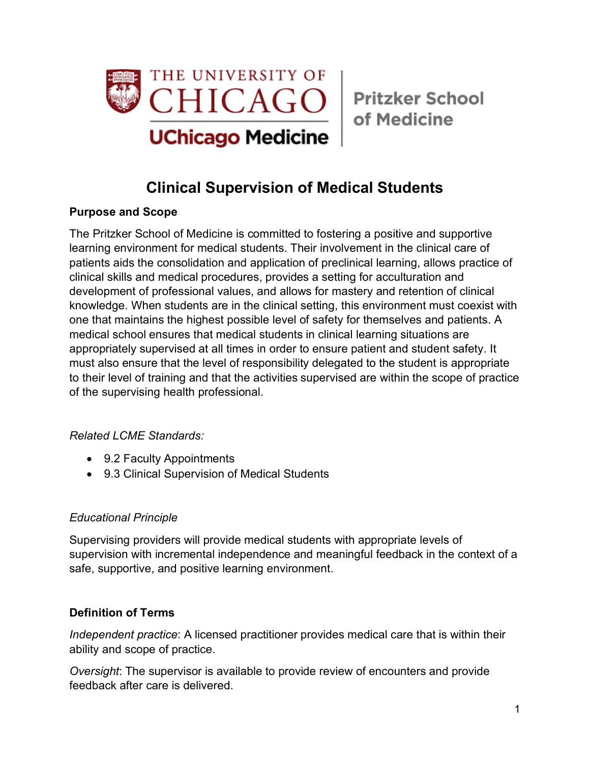

of Medicine

# **Clinical Supervision of Medical Students**

### **Purpose and Scope**

The Pritzker School of Medicine is committed to fostering a positive and supportive learning environment for medical students. Their involvement in the clinical care of patients aids the consolidation and application of preclinical learning, allows practice of clinical skills and medical procedures, provides a setting for acculturation and development of professional values, and allows for mastery and retention of clinical knowledge. When students are in the clinical setting, this environment must coexist with one that maintains the highest possible level of safety for themselves and patients. A medical school ensures that medical students in clinical learning situations are appropriately supervised at all times in order to ensure patient and student safety. It must also ensure that the level of responsibility delegated to the student is appropriate to their level of training and that the activities supervised are within the scope of practice of the supervising health professional.

# *Related LCME Standards:*

- 9.2 Faculty Appointments
- 9.3 Clinical Supervision of Medical Students

#### *Educational Principle*

Supervising providers will provide medical students with appropriate levels of supervision with incremental independence and meaningful feedback in the context of a safe, supportive, and positive learning environment.

#### **Definition of Terms**

*Independent practice*: A licensed practitioner provides medical care that is within their ability and scope of practice.

*Oversight*: The supervisor is available to provide review of encounters and provide feedback after care is delivered.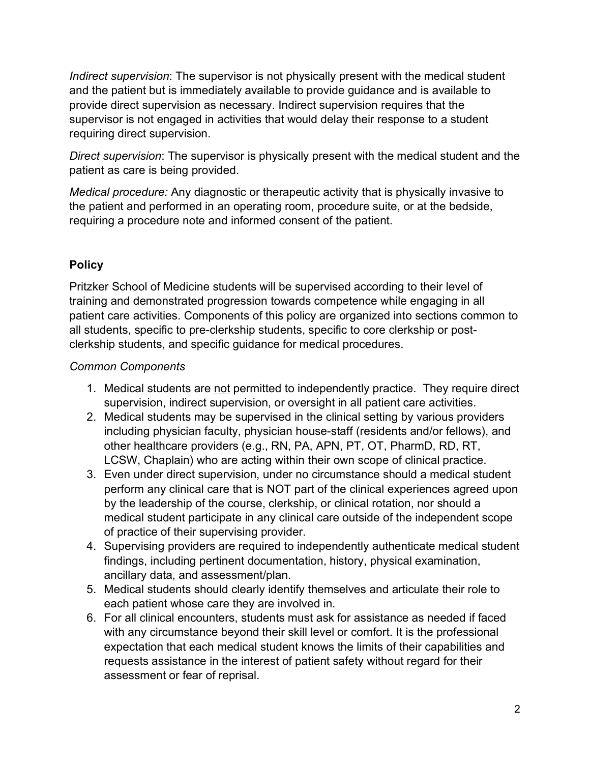*Indirect supervision*: The supervisor is not physically present with the medical student and the patient but is immediately available to provide guidance and is available to provide direct supervision as necessary. Indirect supervision requires that the supervisor is not engaged in activities that would delay their response to a student requiring direct supervision.

*Direct supervision*: The supervisor is physically present with the medical student and the patient as care is being provided.

*Medical procedure:* Any diagnostic or therapeutic activity that is physically invasive to the patient and performed in an operating room, procedure suite, or at the bedside, requiring a procedure note and informed consent of the patient.

# **Policy**

Pritzker School of Medicine students will be supervised according to their level of training and demonstrated progression towards competence while engaging in all patient care activities. Components of this policy are organized into sections common to all students, specific to pre-clerkship students, specific to core clerkship or postclerkship students, and specific guidance for medical procedures.

#### *Common Components*

- 1. Medical students are not permitted to independently practice. They require direct supervision, indirect supervision, or oversight in all patient care activities.
- 2. Medical students may be supervised in the clinical setting by various providers including physician faculty, physician house-staff (residents and/or fellows), and other healthcare providers (e.g., RN, PA, APN, PT, OT, PharmD, RD, RT, LCSW, Chaplain) who are acting within their own scope of clinical practice.
- 3. Even under direct supervision, under no circumstance should a medical student perform any clinical care that is NOT part of the clinical experiences agreed upon by the leadership of the course, clerkship, or clinical rotation, nor should a medical student participate in any clinical care outside of the independent scope of practice of their supervising provider.
- 4. Supervising providers are required to independently authenticate medical student findings, including pertinent documentation, history, physical examination, ancillary data, and assessment/plan.
- 5. Medical students should clearly identify themselves and articulate their role to each patient whose care they are involved in.
- 6. For all clinical encounters, students must ask for assistance as needed if faced with any circumstance beyond their skill level or comfort. It is the professional expectation that each medical student knows the limits of their capabilities and requests assistance in the interest of patient safety without regard for their assessment or fear of reprisal.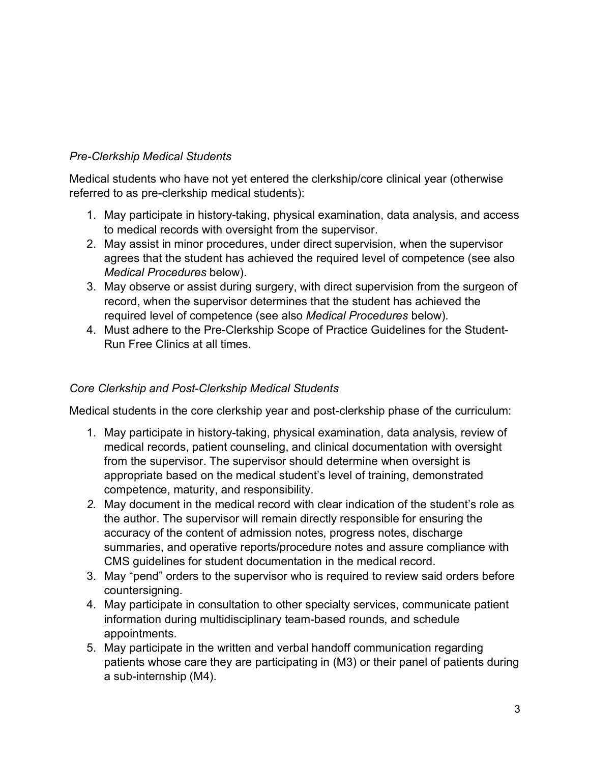## *Pre-Clerkship Medical Students*

Medical students who have not yet entered the clerkship/core clinical year (otherwise referred to as pre-clerkship medical students):

- 1. May participate in history-taking, physical examination, data analysis, and access to medical records with oversight from the supervisor.
- 2. May assist in minor procedures, under direct supervision, when the supervisor agrees that the student has achieved the required level of competence (see also *Medical Procedures* below).
- 3. May observe or assist during surgery, with direct supervision from the surgeon of record, when the supervisor determines that the student has achieved the required level of competence (see also *Medical Procedures* below).
- 4. Must adhere to the Pre-Clerkship Scope of Practice Guidelines for the Student-Run Free Clinics at all times.

#### *Core Clerkship and Post-Clerkship Medical Students*

Medical students in the core clerkship year and post-clerkship phase of the curriculum:

- 1. May participate in history-taking, physical examination, data analysis, review of medical records, patient counseling, and clinical documentation with oversight from the supervisor. The supervisor should determine when oversight is appropriate based on the medical student's level of training, demonstrated competence, maturity, and responsibility.
- *2.* May document in the medical record with clear indication of the student's role as the author. The supervisor will remain directly responsible for ensuring the accuracy of the content of admission notes, progress notes, discharge summaries, and operative reports/procedure notes and assure compliance with CMS guidelines for student documentation in the medical record.
- 3. May "pend" orders to the supervisor who is required to review said orders before countersigning.
- 4. May participate in consultation to other specialty services, communicate patient information during multidisciplinary team-based rounds, and schedule appointments.
- 5. May participate in the written and verbal handoff communication regarding patients whose care they are participating in (M3) or their panel of patients during a sub-internship (M4).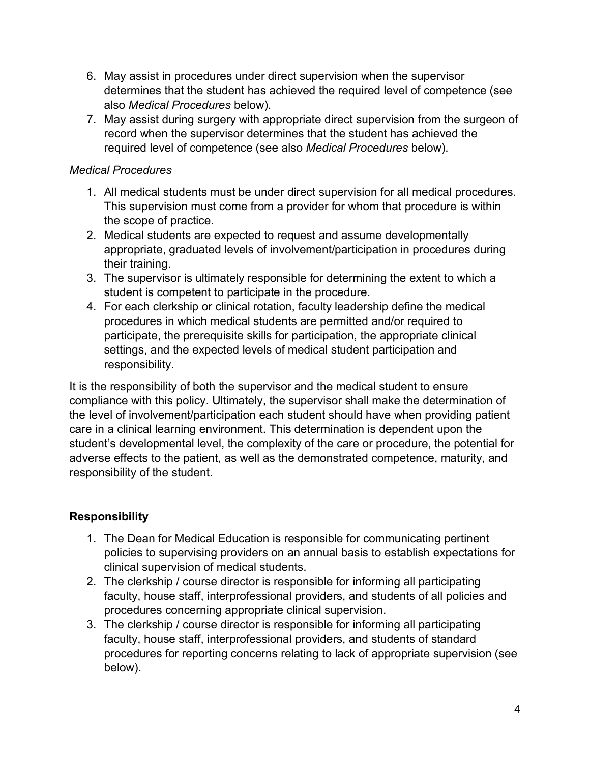- 6. May assist in procedures under direct supervision when the supervisor determines that the student has achieved the required level of competence (see also *Medical Procedures* below).
- 7. May assist during surgery with appropriate direct supervision from the surgeon of record when the supervisor determines that the student has achieved the required level of competence (see also *Medical Procedures* below).

#### *Medical Procedures*

- 1. All medical students must be under direct supervision for all medical procedures. This supervision must come from a provider for whom that procedure is within the scope of practice.
- 2. Medical students are expected to request and assume developmentally appropriate, graduated levels of involvement/participation in procedures during their training.
- 3. The supervisor is ultimately responsible for determining the extent to which a student is competent to participate in the procedure.
- 4. For each clerkship or clinical rotation, faculty leadership define the medical procedures in which medical students are permitted and/or required to participate, the prerequisite skills for participation, the appropriate clinical settings, and the expected levels of medical student participation and responsibility.

It is the responsibility of both the supervisor and the medical student to ensure compliance with this policy. Ultimately, the supervisor shall make the determination of the level of involvement/participation each student should have when providing patient care in a clinical learning environment. This determination is dependent upon the student's developmental level, the complexity of the care or procedure, the potential for adverse effects to the patient, as well as the demonstrated competence, maturity, and responsibility of the student.

# **Responsibility**

- 1. The Dean for Medical Education is responsible for communicating pertinent policies to supervising providers on an annual basis to establish expectations for clinical supervision of medical students.
- 2. The clerkship / course director is responsible for informing all participating faculty, house staff, interprofessional providers, and students of all policies and procedures concerning appropriate clinical supervision.
- 3. The clerkship / course director is responsible for informing all participating faculty, house staff, interprofessional providers, and students of standard procedures for reporting concerns relating to lack of appropriate supervision (see below).